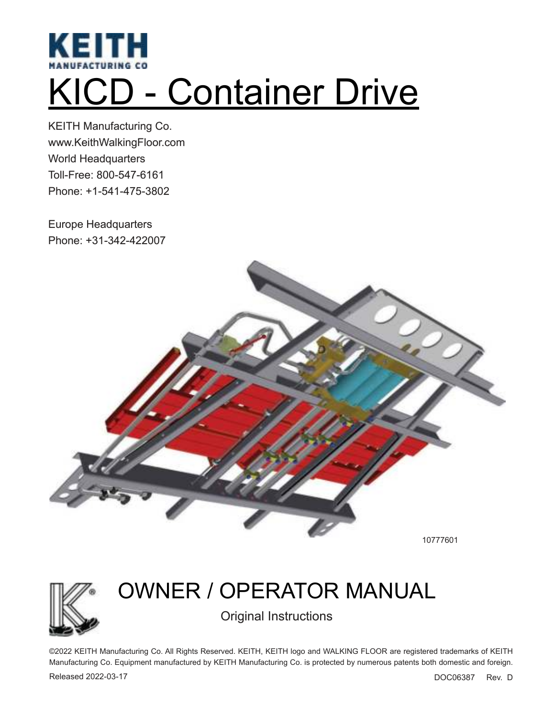

# KICD - Container Drive

KEITH Manufacturing Co. www.KeithWalkingFloor.com World Headquarters Toll-Free: 800-547-6161 Phone: +1-541-475-3802

Europe Headquarters Phone: +31-342-422007



10777601



# OWNER / OPERATOR MANUAL Original Instructions

©2022 KEITH Manufacturing Co. All Rights Reserved. KEITH, KEITH logo and WALKING FLOOR are registered trademarks of KEITH Manufacturing Co. Equipment manufactured by KEITH Manufacturing Co. is protected by numerous patents both domestic and foreign.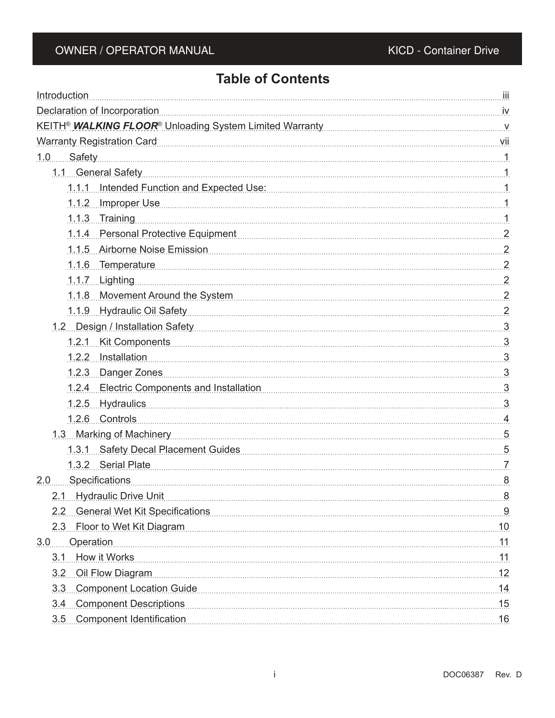# **Table of Contents**

| Introduction                                                                                                                                                                                                                       |     |
|------------------------------------------------------------------------------------------------------------------------------------------------------------------------------------------------------------------------------------|-----|
| Declaration of Incorporation in the contract of the contract of the contract of the contract of the contract of the contract of the contract of the contract of the contract of the contract of the contract of the contract o     |     |
| KEITH <sup>®</sup> WALKING FLOOR <sup>®</sup> Unloading System Limited Warranty <b>Construct Construct Construct Construct</b> V                                                                                                   |     |
| Warranty Registration Card Viii                                                                                                                                                                                                    |     |
| <u>1.0 Safety 1.0 Safety</u> 1.0 Safety 1.0 Safety 1.0 Safety 1.0 Safety 1.0 Safety 1.0 Safety 1.1 Samuel 1.0 Safety 1.1 Samuel 1.1 Samuel 1.1 Safety 1.1 Safety 1.1 Safety 1.1 Safety 1.1 Safety 1.1 Safety 1.1 Safety 1.1 Safety |     |
| 1.1 General Safety 1.1 Ceneral Safety 1.1 Ceneral Safety 1.1 Ceneral Safety 1.1 Ceneral Safety 1.1 Ceneral Safety 1.1 Ceneral Safety 1.1 Ceneral Safety 1.1 Ceneral Safety 1.1 Ceneral Safety 1.1 Ceneral Safety 1.1 Ceneral S     |     |
| 1.1.1 Intended Function and Expected Use: [11] The Manuscript of the Manuscript of the Manuscript of the Manuscript of the Manuscript of the Manuscript of the Manuscript of the Manuscript of the Manuscript of the Manuscrip     |     |
| 1.1.2 Improper Use 1.1.2 Amproper Use 1.1.1.2 Amproper Use 1.1.1.2 Amproper Use 1.1.1.2 Amproper Use 1.1.1.1.1                                                                                                                     |     |
| 1.1.3 Training 1.1.1.3 Training 1.1.1.3 Training 1.1.1.3 Training 1.1.1.3 Training 1.1.1.3 Training 1.1.1.1 Training 1.1.1.1 Training 1.1.1.1 Training 1.1.1 Training 1.1 Training 1.1 Training 1.1 Training 1.1 Training 1.1      |     |
| 1.1.4 Personal Protective Equipment 2014 1.1.4 Personal Protective Equipment                                                                                                                                                       |     |
| 1.1.5 Airborne Noise Emission 2014 1.1.1.5 Airborne Noise 2.2.1.1.5 Airborne Noise 2.2.1.1.5 Airborne Noise Emission                                                                                                               |     |
| 1.1.6 Temperature 2                                                                                                                                                                                                                |     |
| 1.1.7 Lighting 2                                                                                                                                                                                                                   |     |
| 1.1.8 Movement Around the System [11] 1.1.8 Movement 2                                                                                                                                                                             |     |
| 1.1.9 Hydraulic Oil Safety 2                                                                                                                                                                                                       |     |
| 1.2 Design / Installation Safety 3.2 Design / Installation Safety                                                                                                                                                                  |     |
| 1.2.1 Kit Components 3                                                                                                                                                                                                             |     |
| 1.2.2 Installation                                                                                                                                                                                                                 |     |
| 1.2.3 Danger Zones 3                                                                                                                                                                                                               |     |
| 1.2.4 Electric Components and Installation [10] [12.4 Electric Components and Installation [10] [12.4 Electric Components and Installation                                                                                         |     |
| 1.2.5 Hydraulics 3                                                                                                                                                                                                                 |     |
| 1.2.6 Controls 4                                                                                                                                                                                                                   |     |
| 1.3 Marking of Machinery 1.1 States and Taracenter and Taracenter and Taracenter and Taracenter and Taracenter and Taracenter and Taracenter and Taracenter and Taracenter and Taracenter and Taracenter and Taracenter and Ta     |     |
| 1.3.1 Safety Decal Placement Guides [10] [10] Safety Decal Placement Guides [10] Safety Decal Placement Guides                                                                                                                     |     |
| 1.3.2 Serial Plate 7                                                                                                                                                                                                               |     |
| 2.0 Specifications                                                                                                                                                                                                                 |     |
| 2.1 Hydraulic Drive Unit                                                                                                                                                                                                           | 8   |
| 2.2 General Wet Kit Specifications 9                                                                                                                                                                                               |     |
| 2.3 Floor to Wet Kit Diagram 10                                                                                                                                                                                                    |     |
| 3.0 Operation                                                                                                                                                                                                                      |     |
| 3.1 How it Works                                                                                                                                                                                                                   |     |
| 3.2 Oil Flow Diagram 12                                                                                                                                                                                                            |     |
|                                                                                                                                                                                                                                    |     |
| 3.4 Component Descriptions 15                                                                                                                                                                                                      |     |
| 3.5 Component Identification                                                                                                                                                                                                       | .16 |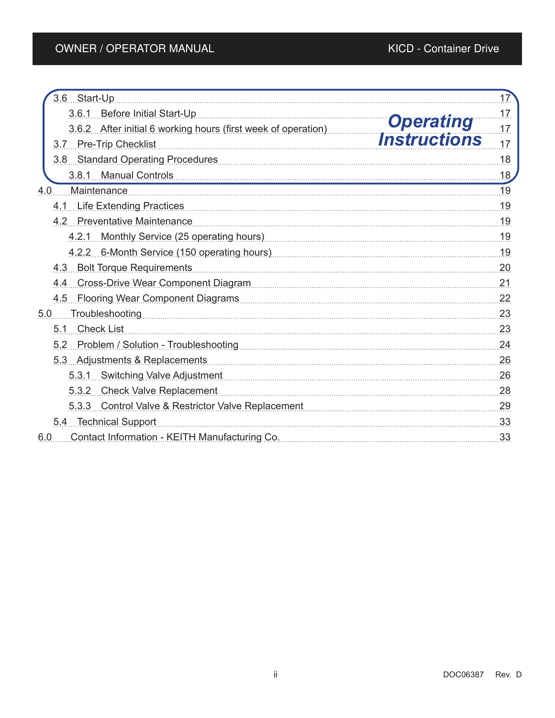| 3.6 Start-Up                                                                                        | 17  |
|-----------------------------------------------------------------------------------------------------|-----|
| 3.6.1 Before Initial Start-Up                                                                       | 17. |
| <b>Operating</b><br>3.6.2 After initial 6 working hours (first week of operation)                   | 17  |
| <i><b>Instructions</b></i><br>3.7 Pre-Trip Checklist                                                | 17  |
| 3.8 Standard Operating Procedures <b>Manual Accord Procedures</b> 3.8 Standard Operating Procedures | .18 |
| 3.8.1 Manual Controls                                                                               | 18  |
| Maintenance<br>4.0                                                                                  | 19  |
| 4.1 Life Extending Practices                                                                        | 19  |
| 4.2 Preventative Maintenance                                                                        | .19 |
| 4.2.1 Monthly Service (25 operating hours) Manuscription Manuscritt Monthly Service                 | 19  |
|                                                                                                     | .19 |
| 4.3 Bolt Torque Requirements                                                                        | 20  |
| 4.4 Cross-Drive Wear Component Diagram                                                              | .21 |
| 4.5 Flooring Wear Component Diagrams                                                                | .22 |
| Troubleshooting<br>5.0                                                                              | .23 |
| 5.1 Check List                                                                                      | .23 |
| 5.2 Problem / Solution - Troubleshooting [11] [12] Problem / Solution - Troubleshooting             | .24 |
| 5.3 Adjustments & Replacements                                                                      | .26 |
| 5.3.1 Switching Valve Adjustment                                                                    | .26 |
| 5.3.2 Check Valve Replacement                                                                       | 28  |
| 5.3.3 Control Valve & Restrictor Valve Replacement                                                  | 29  |
| 5.4 Technical Support                                                                               | .33 |
| Contact Information - KEITH Manufacturing Co.<br>6.0                                                | 33  |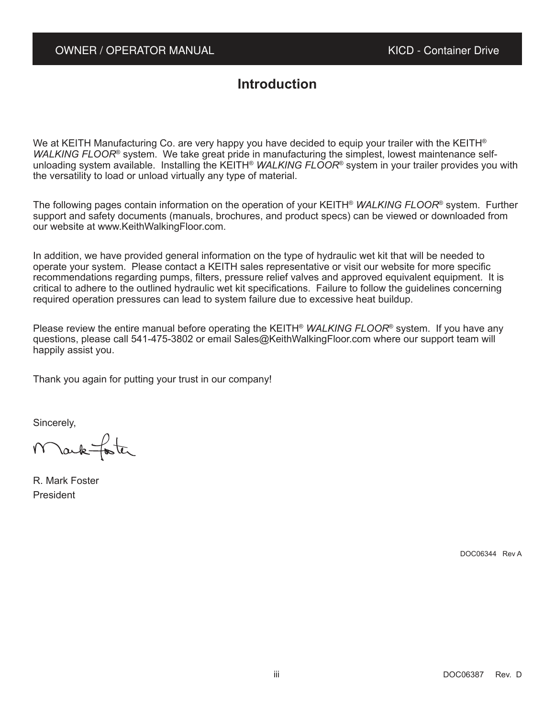# **Introduction**

We at KEITH Manufacturing Co. are very happy you have decided to equip your trailer with the KEITH® WALKING FLOOR<sup>®</sup> system. We take great pride in manufacturing the simplest, lowest maintenance selfunloading system available. Installing the KEITH® *WALKING FLOOR*® system in your trailer provides you with the versatility to load or unload virtually any type of material.

The following pages contain information on the operation of your KEITH<sup>®</sup> WALKING FLOOR<sup>®</sup> system. Further support and safety documents (manuals, brochures, and product specs) can be viewed or downloaded from our website at www.KeithWalkingFloor.com.

In addition, we have provided general information on the type of hydraulic wet kit that will be needed to operate your system. Please contact a KEITH sales representative or visit our website for more specific recommendations regarding pumps, filters, pressure relief valves and approved equivalent equipment. It is critical to adhere to the outlined hydraulic wet kit specifications. Failure to follow the guidelines concerning required operation pressures can lead to system failure due to excessive heat buildup.

Please review the entire manual before operating the KEITH® *WALKING FLOOR*® system. If you have any questions, please call 541-475-3802 or email Sales@KeithWalkingFloor.com where our support team will happily assist you.

Thank you again for putting your trust in our company!

Sincerely,

Marktoter

R. Mark Foster President

DOC06344 Rev A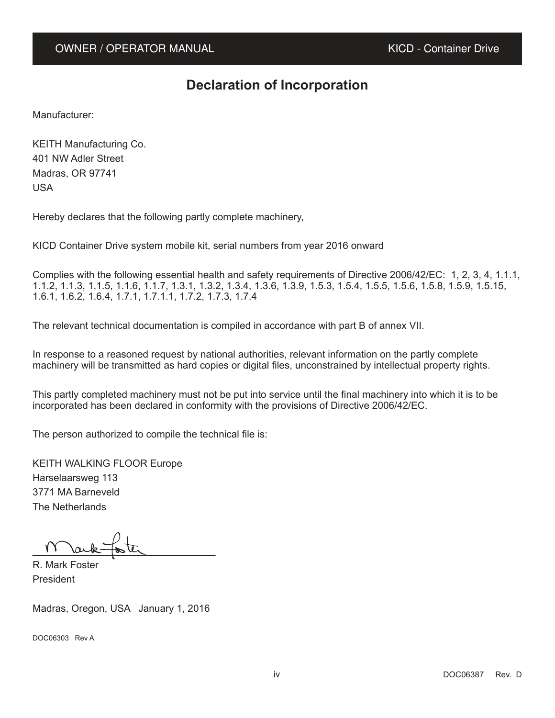# **Declaration of Incorporation**

Manufacturer:

KEITH Manufacturing Co. 401 NW Adler Street Madras, OR 97741 USA

Hereby declares that the following partly complete machinery,

KICD Container Drive system mobile kit, serial numbers from year 2016 onward

Complies with the following essential health and safety requirements of Directive 2006/42/EC: 1, 2, 3, 4, 1.1.1, 1.1.2, 1.1.3, 1.1.5, 1.1.6, 1.1.7, 1.3.1, 1.3.2, 1.3.4, 1.3.6, 1.3.9, 1.5.3, 1.5.4, 1.5.5, 1.5.6, 1.5.8, 1.5.9, 1.5.15, 1.6.1, 1.6.2, 1.6.4, 1.7.1, 1.7.1.1, 1.7.2, 1.7.3, 1.7.4

The relevant technical documentation is compiled in accordance with part B of annex VII.

In response to a reasoned request by national authorities, relevant information on the partly complete machinery will be transmitted as hard copies or digital files, unconstrained by intellectual property rights.

This partly completed machinery must not be put into service until the final machinery into which it is to be incorporated has been declared in conformity with the provisions of Directive 2006/42/EC.

The person authorized to compile the technical file is:

KEITH WALKING FLOOR Europe Harselaarsweg 113 3771 MA Barneveld The Netherlands

 $\frac{11}{20}$   $\frac{10}{20}$ 

R. Mark Foster President

Madras, Oregon, USA January 1, 2016

DOC06303 Rev A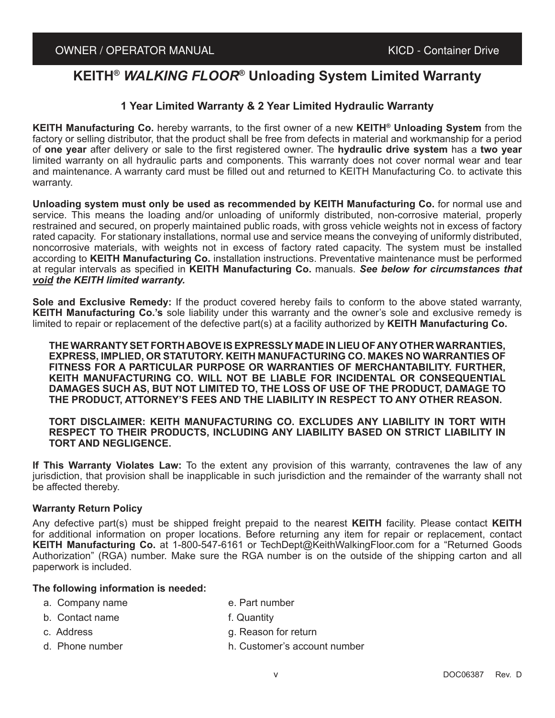# **KEITH®** *WALKING FLOOR***® Unloading System Limited Warranty**

# **1 Year Limited Warranty & 2 Year Limited Hydraulic Warranty**

**KEITH Manufacturing Co.** hereby warrants, to the first owner of a new **KEITH® Unloading System** from the factory or selling distributor, that the product shall be free from defects in material and workmanship for a period of **one year** after delivery or sale to the first registered owner. The **hydraulic drive system** has a **two year** limited warranty on all hydraulic parts and components. This warranty does not cover normal wear and tear and maintenance. A warranty card must be filled out and returned to KEITH Manufacturing Co. to activate this warranty.

**Unloading system must only be used as recommended by KEITH Manufacturing Co.** for normal use and service. This means the loading and/or unloading of uniformly distributed, non-corrosive material, properly restrained and secured, on properly maintained public roads, with gross vehicle weights not in excess of factory rated capacity. For stationary installations, normal use and service means the conveying of uniformly distributed, noncorrosive materials, with weights not in excess of factory rated capacity. The system must be installed according to **KEITH Manufacturing Co.** installation instructions. Preventative maintenance must be performed at regular intervals as specified in **KEITH Manufacturing Co.** manuals. *See below for circumstances that void the KEITH limited warranty.*

**Sole and Exclusive Remedy:** If the product covered hereby fails to conform to the above stated warranty, **KEITH Manufacturing Co.'s** sole liability under this warranty and the owner's sole and exclusive remedy is limited to repair or replacement of the defective part(s) at a facility authorized by **KEITH Manufacturing Co.**

**THE WARRANTY SET FORTH ABOVE IS EXPRESSLY MADE IN LIEU OF ANY OTHER WARRANTIES, EXPRESS, IMPLIED, OR STATUTORY. KEITH MANUFACTURING CO. MAKES NO WARRANTIES OF FITNESS FOR A PARTICULAR PURPOSE OR WARRANTIES OF MERCHANTABILITY. FURTHER, KEITH MANUFACTURING CO. WILL NOT BE LIABLE FOR INCIDENTAL OR CONSEQUENTIAL DAMAGES SUCH AS, BUT NOT LIMITED TO, THE LOSS OF USE OF THE PRODUCT, DAMAGE TO THE PRODUCT, ATTORNEY'S FEES AND THE LIABILITY IN RESPECT TO ANY OTHER REASON.**

**TORT DISCLAIMER: KEITH MANUFACTURING CO. EXCLUDES ANY LIABILITY IN TORT WITH RESPECT TO THEIR PRODUCTS, INCLUDING ANY LIABILITY BASED ON STRICT LIABILITY IN TORT AND NEGLIGENCE.**

**If This Warranty Violates Law:** To the extent any provision of this warranty, contravenes the law of any jurisdiction, that provision shall be inapplicable in such jurisdiction and the remainder of the warranty shall not be affected thereby.

#### **Warranty Return Policy**

Any defective part(s) must be shipped freight prepaid to the nearest **KEITH** facility. Please contact **KEITH** for additional information on proper locations. Before returning any item for repair or replacement, contact **KEITH Manufacturing Co.** at 1-800-547-6161 or TechDept@KeithWalkingFloor.com for a "Returned Goods Authorization" (RGA) number. Make sure the RGA number is on the outside of the shipping carton and all paperwork is included.

#### **The following information is needed:**

- a. Company name e. Part number
- b. Contact name f. Quantity
- 
- c. Address g. Reason for return
- d. Phone number h. Customer's account number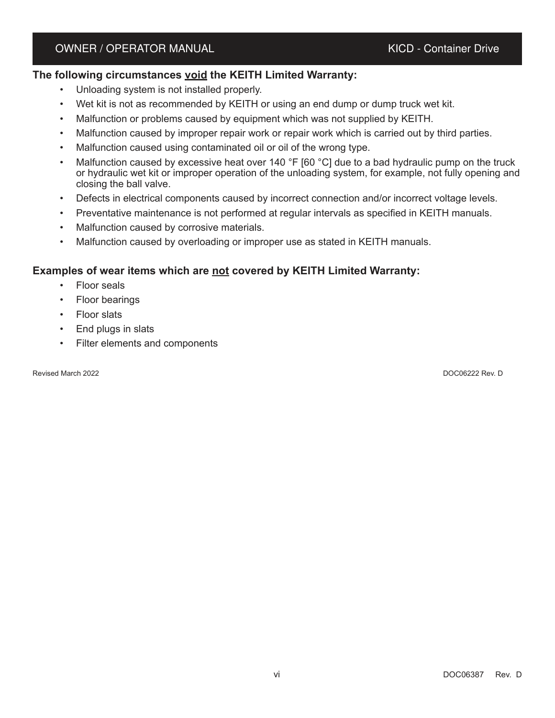# **The following circumstances void the KEITH Limited Warranty:**

- Unloading system is not installed properly.
- Wet kit is not as recommended by KEITH or using an end dump or dump truck wet kit.
- Malfunction or problems caused by equipment which was not supplied by KEITH.
- Malfunction caused by improper repair work or repair work which is carried out by third parties.
- Malfunction caused using contaminated oil or oil of the wrong type.
- Malfunction caused by excessive heat over 140 °F [60  $^{\circ}$ C] due to a bad hydraulic pump on the truck or hydraulic wet kit or improper operation of the unloading system, for example, not fully opening and closing the ball valve.
- Defects in electrical components caused by incorrect connection and/or incorrect voltage levels.
- Preventative maintenance is not performed at regular intervals as specified in KEITH manuals.
- Malfunction caused by corrosive materials.
- Malfunction caused by overloading or improper use as stated in KEITH manuals.

# **Examples of wear items which are not covered by KEITH Limited Warranty:**

- Floor seals
- Floor bearings
- Floor slats
- End plugs in slats
- Filter elements and components

Revised March 2022 DOC06222 Rev. D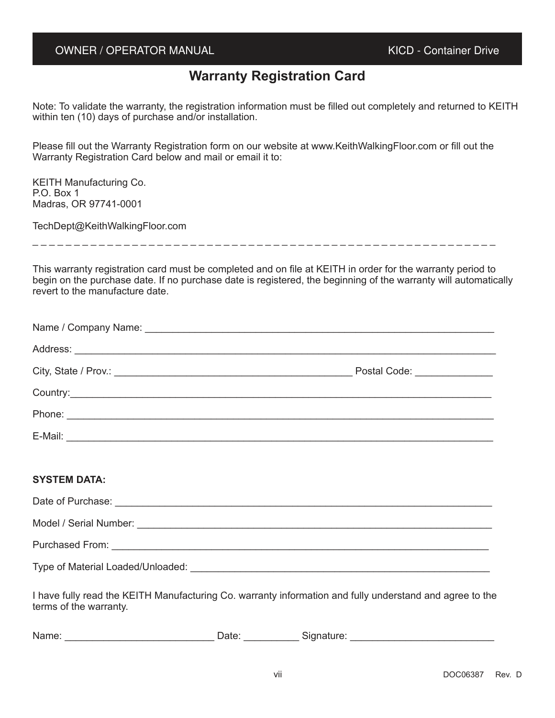# **Warranty Registration Card**

Note: To validate the warranty, the registration information must be filled out completely and returned to KEITH within ten (10) days of purchase and/or installation.

Please fill out the Warranty Registration form on our website at www.KeithWalkingFloor.com or fill out the Warranty Registration Card below and mail or email it to:

KEITH Manufacturing Co. P.O. Box 1 Madras, OR 97741-0001

TechDept@KeithWalkingFloor.com

\_ \_ \_ \_ \_ \_ \_ \_ \_ \_ \_ \_ \_ \_ \_ \_ \_ \_ \_ \_ \_ \_ \_ \_ \_ \_ \_ \_ \_ \_ \_ \_ \_ \_ \_ \_ \_ \_ \_ \_ \_ \_ \_ \_ \_ \_ \_ \_ \_ \_ \_ \_ \_ \_ \_ \_

This warranty registration card must be completed and on file at KEITH in order for the warranty period to begin on the purchase date. If no purchase date is registered, the beginning of the warranty will automatically revert to the manufacture date.

| Postal Code: _______________ |
|------------------------------|
|                              |
|                              |
|                              |

#### **SYSTEM DATA:**

| Date of Purchase:                 |
|-----------------------------------|
| Model / Serial Number:            |
| <b>Purchased From:</b>            |
| Type of Material Loaded/Unloaded: |

I have fully read the KEITH Manufacturing Co. warranty information and fully understand and agree to the terms of the warranty.

| Name: |  | ate |  | i<br><b>olulidiule.</b> |  |
|-------|--|-----|--|-------------------------|--|
|-------|--|-----|--|-------------------------|--|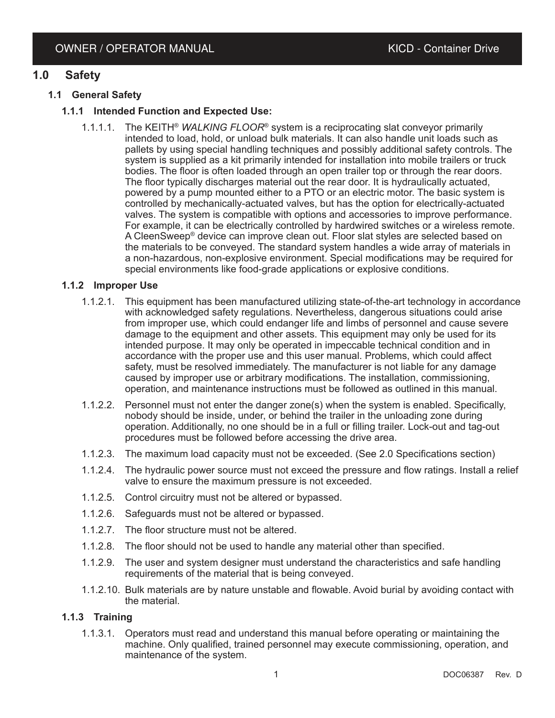# **1.0 Safety**

# **1.1 General Safety**

# **1.1.1 Intended Function and Expected Use:**

1.1.1.1. The KEITH® *WALKING FLOOR*® system is a reciprocating slat conveyor primarily intended to load, hold, or unload bulk materials. It can also handle unit loads such as pallets by using special handling techniques and possibly additional safety controls. The system is supplied as a kit primarily intended for installation into mobile trailers or truck bodies. The floor is often loaded through an open trailer top or through the rear doors. The floor typically discharges material out the rear door. It is hydraulically actuated, powered by a pump mounted either to a PTO or an electric motor. The basic system is controlled by mechanically-actuated valves, but has the option for electrically-actuated valves. The system is compatible with options and accessories to improve performance. For example, it can be electrically controlled by hardwired switches or a wireless remote. A CleenSweep® device can improve clean out. Floor slat styles are selected based on the materials to be conveyed. The standard system handles a wide array of materials in a non-hazardous, non-explosive environment. Special modifications may be required for special environments like food-grade applications or explosive conditions.

# **1.1.2 Improper Use**

- 1.1.2.1. This equipment has been manufactured utilizing state-of-the-art technology in accordance with acknowledged safety regulations. Nevertheless, dangerous situations could arise from improper use, which could endanger life and limbs of personnel and cause severe damage to the equipment and other assets. This equipment may only be used for its intended purpose. It may only be operated in impeccable technical condition and in accordance with the proper use and this user manual. Problems, which could affect safety, must be resolved immediately. The manufacturer is not liable for any damage caused by improper use or arbitrary modifications. The installation, commissioning, operation, and maintenance instructions must be followed as outlined in this manual.
- 1.1.2.2. Personnel must not enter the danger zone(s) when the system is enabled. Specifically, nobody should be inside, under, or behind the trailer in the unloading zone during operation. Additionally, no one should be in a full or filling trailer. Lock-out and tag-out procedures must be followed before accessing the drive area.
- 1.1.2.3. The maximum load capacity must not be exceeded. (See 2.0 Specifications section)
- 1.1.2.4. The hydraulic power source must not exceed the pressure and flow ratings. Install a relief valve to ensure the maximum pressure is not exceeded.
- 1.1.2.5. Control circuitry must not be altered or bypassed.
- 1.1.2.6. Safeguards must not be altered or bypassed.
- 1.1.2.7. The floor structure must not be altered.
- 1.1.2.8. The floor should not be used to handle any material other than specified.
- 1.1.2.9. The user and system designer must understand the characteristics and safe handling requirements of the material that is being conveyed.
- 1.1.2.10. Bulk materials are by nature unstable and flowable. Avoid burial by avoiding contact with the material.

# **1.1.3 Training**

1.1.3.1. Operators must read and understand this manual before operating or maintaining the machine. Only qualified, trained personnel may execute commissioning, operation, and maintenance of the system.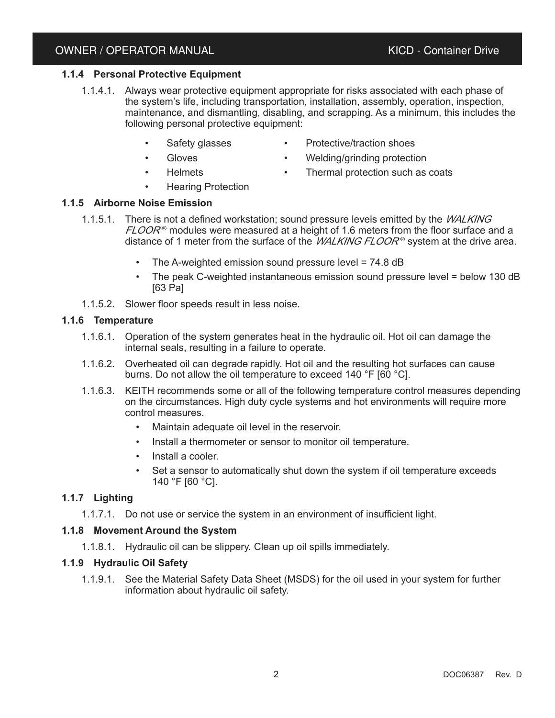## **1.1.4 Personal Protective Equipment**

- 1.1.4.1. Always wear protective equipment appropriate for risks associated with each phase of the system's life, including transportation, installation, assembly, operation, inspection, maintenance, and dismantling, disabling, and scrapping. As a minimum, this includes the following personal protective equipment:
	- Safety glasses **·** Protective/traction shoes
	-
	- Gloves Welding/grinding protection
	-
- Helmets **·** Thermal protection such as coats
	- **Hearing Protection**

#### **1.1.5 Airborne Noise Emission**

- 1.1.5.1. There is not a defined workstation; sound pressure levels emitted by the *WALKING*  ${\it FLOOR}$ ® modules were measured at a height of 1.6 meters from the floor surface and a distance of 1 meter from the surface of the *WALKING FLOOR*® system at the drive area.
	- The A-weighted emission sound pressure level =  $74.8$  dB
	- The peak C-weighted instantaneous emission sound pressure level = below 130 dB [63 Pa]
- 1.1.5.2. Slower floor speeds result in less noise.

#### **1.1.6 Temperature**

- 1.1.6.1. Operation of the system generates heat in the hydraulic oil. Hot oil can damage the internal seals, resulting in a failure to operate.
- 1.1.6.2. Overheated oil can degrade rapidly. Hot oil and the resulting hot surfaces can cause burns. Do not allow the oil temperature to exceed 140 °F [60 °C].
- 1.1.6.3. KEITH recommends some or all of the following temperature control measures depending on the circumstances. High duty cycle systems and hot environments will require more control measures.
	- Maintain adequate oil level in the reservoir.
	- Install a thermometer or sensor to monitor oil temperature.
	- Install a cooler.
	- Set a sensor to automatically shut down the system if oil temperature exceeds 140 °F [60 °C].

# **1.1.7 Lighting**

1.1.7.1. Do not use or service the system in an environment of insufficient light.

#### **1.1.8 Movement Around the System**

1.1.8.1. Hydraulic oil can be slippery. Clean up oil spills immediately.

#### **1.1.9 Hydraulic Oil Safety**

1.1.9.1. See the Material Safety Data Sheet (MSDS) for the oil used in your system for further information about hydraulic oil safety.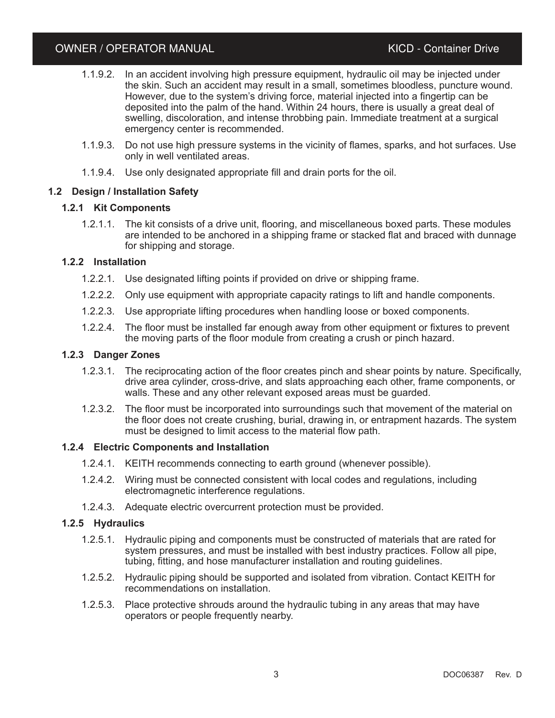- 1.1.9.2. In an accident involving high pressure equipment, hydraulic oil may be injected under the skin. Such an accident may result in a small, sometimes bloodless, puncture wound. However, due to the system's driving force, material injected into a fingertip can be deposited into the palm of the hand. Within 24 hours, there is usually a great deal of swelling, discoloration, and intense throbbing pain. Immediate treatment at a surgical emergency center is recommended.
- 1.1.9.3. Do not use high pressure systems in the vicinity of flames, sparks, and hot surfaces. Use only in well ventilated areas.
- 1.1.9.4. Use only designated appropriate fill and drain ports for the oil.

# **1.2 Design / Installation Safety**

# **1.2.1 Kit Components**

1.2.1.1. The kit consists of a drive unit, flooring, and miscellaneous boxed parts. These modules are intended to be anchored in a shipping frame or stacked flat and braced with dunnage for shipping and storage.

# **1.2.2 Installation**

- 1.2.2.1. Use designated lifting points if provided on drive or shipping frame.
- 1.2.2.2. Only use equipment with appropriate capacity ratings to lift and handle components.
- 1.2.2.3. Use appropriate lifting procedures when handling loose or boxed components.
- 1.2.2.4. The floor must be installed far enough away from other equipment or fixtures to prevent the moving parts of the floor module from creating a crush or pinch hazard.

#### **1.2.3 Danger Zones**

- 1.2.3.1. The reciprocating action of the floor creates pinch and shear points by nature. Specifically, drive area cylinder, cross-drive, and slats approaching each other, frame components, or walls. These and any other relevant exposed areas must be guarded.
- 1.2.3.2. The floor must be incorporated into surroundings such that movement of the material on the floor does not create crushing, burial, drawing in, or entrapment hazards. The system must be designed to limit access to the material flow path.

#### **1.2.4 Electric Components and Installation**

- 1.2.4.1. KEITH recommends connecting to earth ground (whenever possible).
- 1.2.4.2. Wiring must be connected consistent with local codes and regulations, including electromagnetic interference regulations.
- 1.2.4.3. Adequate electric overcurrent protection must be provided.

# **1.2.5 Hydraulics**

- 1.2.5.1. Hydraulic piping and components must be constructed of materials that are rated for system pressures, and must be installed with best industry practices. Follow all pipe, tubing, fitting, and hose manufacturer installation and routing guidelines.
- 1.2.5.2. Hydraulic piping should be supported and isolated from vibration. Contact KEITH for recommendations on installation.
- 1.2.5.3. Place protective shrouds around the hydraulic tubing in any areas that may have operators or people frequently nearby.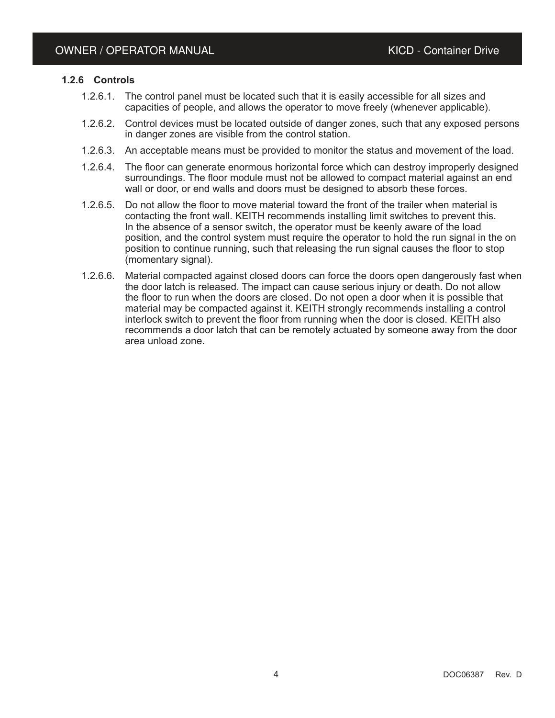#### **1.2.6 Controls**

- 1.2.6.1. The control panel must be located such that it is easily accessible for all sizes and capacities of people, and allows the operator to move freely (whenever applicable).
- 1.2.6.2. Control devices must be located outside of danger zones, such that any exposed persons in danger zones are visible from the control station.
- 1.2.6.3. An acceptable means must be provided to monitor the status and movement of the load.
- 1.2.6.4. The floor can generate enormous horizontal force which can destroy improperly designed surroundings. The floor module must not be allowed to compact material against an end wall or door, or end walls and doors must be designed to absorb these forces.
- 1.2.6.5. Do not allow the floor to move material toward the front of the trailer when material is contacting the front wall. KEITH recommends installing limit switches to prevent this. In the absence of a sensor switch, the operator must be keenly aware of the load position, and the control system must require the operator to hold the run signal in the on position to continue running, such that releasing the run signal causes the floor to stop (momentary signal).
- 1.2.6.6. Material compacted against closed doors can force the doors open dangerously fast when the door latch is released. The impact can cause serious injury or death. Do not allow the floor to run when the doors are closed. Do not open a door when it is possible that material may be compacted against it. KEITH strongly recommends installing a control interlock switch to prevent the floor from running when the door is closed. KEITH also recommends a door latch that can be remotely actuated by someone away from the door area unload zone.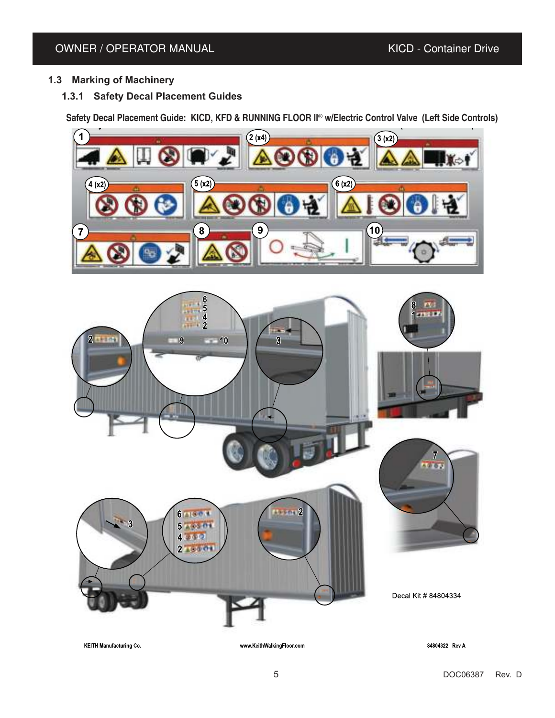# **1.3 Marking of Machinery**

**1.3.1 Safety Decal Placement Guides**

Safety Decal Placement Guide: KICD, KFD & RUNNING ELOOR II<sup>®</sup> w/Electric Control Valve (Left Side Controls)





**KEITH Manufacturing Co.** 

www.KeithWalkingFloor.com

84804322 Rev A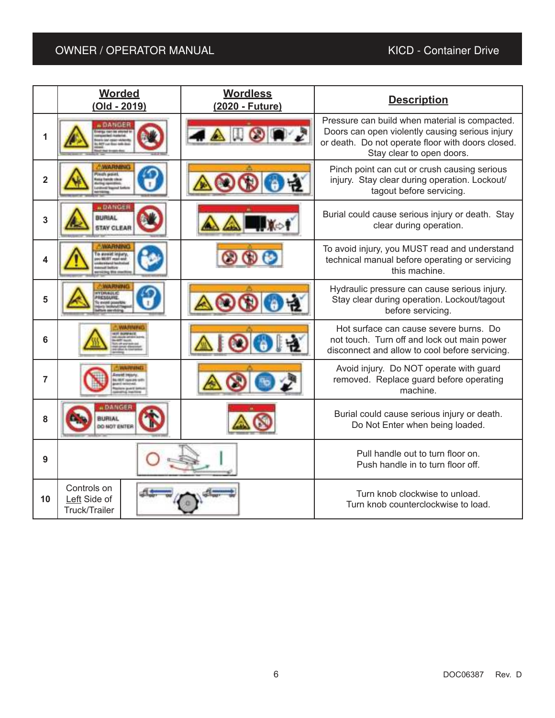|                | <b>Worded</b><br><b>Wordless</b><br>(Old - 2019)<br>(2020 - Future) |  | <b>Description</b>                                                                                                                                                                  |  |
|----------------|---------------------------------------------------------------------|--|-------------------------------------------------------------------------------------------------------------------------------------------------------------------------------------|--|
| 1              | DANGER                                                              |  | Pressure can build when material is compacted.<br>Doors can open violently causing serious injury<br>or death. Do not operate floor with doors closed.<br>Stay clear to open doors. |  |
| $\overline{2}$ | <b>WARNING</b><br>dia situa                                         |  | Pinch point can cut or crush causing serious<br>injury. Stay clear during operation. Lockout/<br>tagout before servicing.                                                           |  |
| 3              | a DANGER<br><b>BURIAL</b><br><b>STAY CLEAR</b>                      |  | Burial could cause serious injury or death. Stay<br>clear during operation.                                                                                                         |  |
| 4              | <b>WARNING</b>                                                      |  | To avoid injury, you MUST read and understand<br>technical manual before operating or servicing<br>this machine.                                                                    |  |
| 5              | <b>TANAGER</b>                                                      |  | Hydraulic pressure can cause serious injury.<br>Stay clear during operation. Lockout/tagout<br>before servicing.                                                                    |  |
| 6              |                                                                     |  | Hot surface can cause severe burns. Do<br>not touch. Turn off and lock out main power<br>disconnect and allow to cool before servicing.                                             |  |
| $\overline{7}$ |                                                                     |  | Avoid injury. Do NOT operate with guard<br>removed. Replace guard before operating<br>machine.                                                                                      |  |
| 8              | <b>DANGER</b><br><b>MIRLIA</b><br><b>O NOT ENTER</b>                |  | Burial could cause serious injury or death.<br>Do Not Enter when being loaded.                                                                                                      |  |
| 9              |                                                                     |  | Pull handle out to turn floor on.<br>Push handle in to turn floor off.                                                                                                              |  |
| 10             | Controls on<br>Left Side of<br><b>Truck/Trailer</b>                 |  | Turn knob clockwise to unload.<br>Turn knob counterclockwise to load.                                                                                                               |  |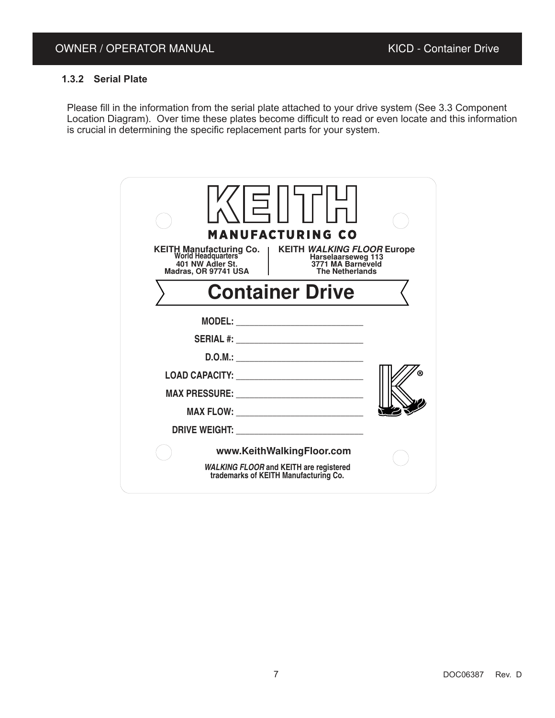# **1.3.2 Serial Plate**

Please fill in the information from the serial plate attached to your drive system (See 3.3 Component Location Diagram). Over time these plates become difficult to read or even locate and this information is crucial in determining the specific replacement parts for your system.

| <b>MANUFACTURING CO</b><br>KEITH Manufacturing Co.   KEITH<br>World Headquarters<br>401 NW Adler St.<br>Madras. OR 97741 USA<br>KEITH WALKING FLOOR Europe<br>Harselaarseweg 113<br>3771 MA Barneveld<br><b>The Netherlands</b> |  |
|---------------------------------------------------------------------------------------------------------------------------------------------------------------------------------------------------------------------------------|--|
| <b>Container Drive</b>                                                                                                                                                                                                          |  |
|                                                                                                                                                                                                                                 |  |
| <b>SERIAL #: _________________________________</b>                                                                                                                                                                              |  |
|                                                                                                                                                                                                                                 |  |
|                                                                                                                                                                                                                                 |  |
| MAX PRESSURE: NAMEL AND A SERVICE OF THE SERVICE OF THE SERVICE OF THE SERVICE OF THE SERVICE OF THE SERVICE O                                                                                                                  |  |
|                                                                                                                                                                                                                                 |  |
|                                                                                                                                                                                                                                 |  |
| www.KeithWalkingFloor.com                                                                                                                                                                                                       |  |
| WALKING FLOOR and KEITH are registered<br>trademarks of KEITH Manufacturing Co.                                                                                                                                                 |  |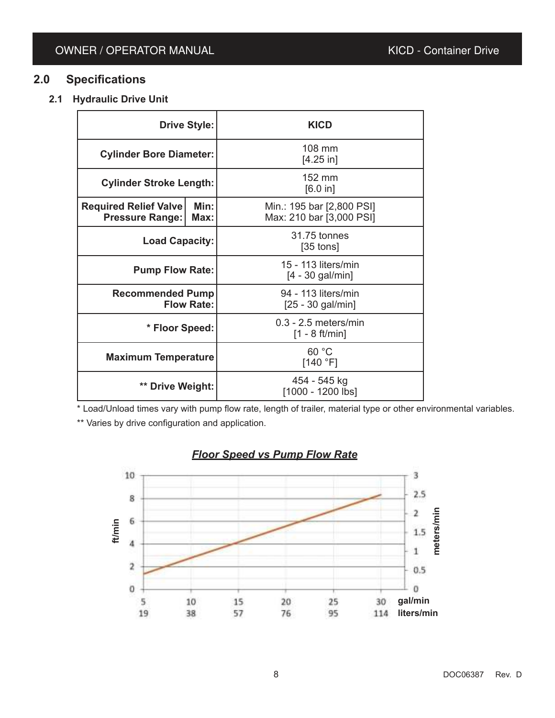# **2.0 Specifications**

**2.1 Hydraulic Drive Unit**

| <b>Drive Style:</b>                                                    |  | <b>KICD</b>                                           |  |
|------------------------------------------------------------------------|--|-------------------------------------------------------|--|
| <b>Cylinder Bore Diameter:</b>                                         |  | 108 mm<br>$[4.25$ in]                                 |  |
| <b>Cylinder Stroke Length:</b>                                         |  | 152 mm<br>[6.0 in]                                    |  |
| Min:<br><b>Required Relief Valve</b><br><b>Pressure Range:</b><br>Max: |  | Min.: 195 bar [2,800 PSI]<br>Max: 210 bar [3,000 PSI] |  |
| <b>Load Capacity:</b>                                                  |  | 31.75 tonnes<br>$[35$ tons]                           |  |
| <b>Pump Flow Rate:</b>                                                 |  | 15 - 113 liters/min<br>$[4 - 30$ gal/min]             |  |
| <b>Recommended Pump</b><br><b>Flow Rate:</b>                           |  | 94 - 113 liters/min<br>$[25 - 30$ gal/min]            |  |
| * Floor Speed:                                                         |  | $0.3 - 2.5$ meters/min<br>$[1 - 8 ft/min]$            |  |
| <b>Maximum Temperature</b>                                             |  | 60 °C<br>[140 °F]                                     |  |
| ** Drive Weight:                                                       |  | 454 - 545 kg<br>[1000 - 1200 lbs]                     |  |

\* Load/Unload times vary with pump flow rate, length of trailer, material type or other environmental variables. \*\* Varies by drive configuration and application.

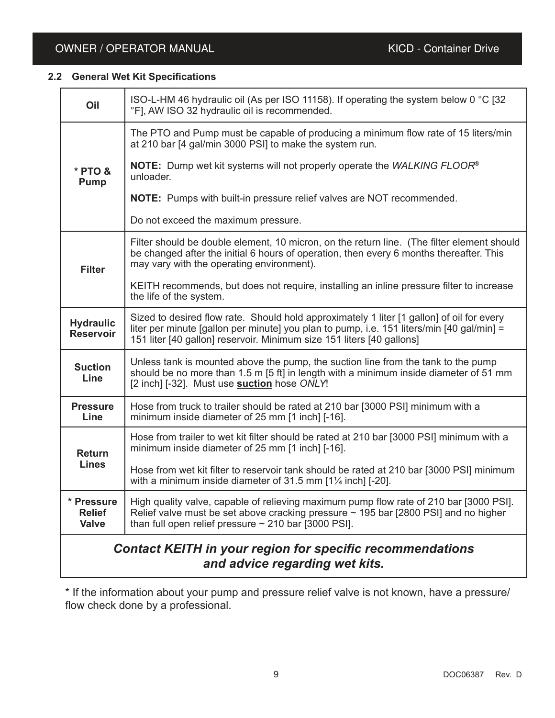# **2.2 General Wet Kit Specifications**

| Oil                                         | ISO-L-HM 46 hydraulic oil (As per ISO 11158). If operating the system below 0 °C [32<br>°F], AW ISO 32 hydraulic oil is recommended.                                                                                                                            |
|---------------------------------------------|-----------------------------------------------------------------------------------------------------------------------------------------------------------------------------------------------------------------------------------------------------------------|
|                                             | The PTO and Pump must be capable of producing a minimum flow rate of 15 liters/min<br>at 210 bar [4 gal/min 3000 PSI] to make the system run.                                                                                                                   |
| * PTO &<br><b>Pump</b>                      | <b>NOTE:</b> Dump wet kit systems will not properly operate the WALKING FLOOR <sup>®</sup><br>unloader.                                                                                                                                                         |
|                                             | <b>NOTE:</b> Pumps with built-in pressure relief valves are NOT recommended.                                                                                                                                                                                    |
|                                             | Do not exceed the maximum pressure.                                                                                                                                                                                                                             |
| <b>Filter</b>                               | Filter should be double element, 10 micron, on the return line. (The filter element should<br>be changed after the initial 6 hours of operation, then every 6 months thereafter. This<br>may vary with the operating environment).                              |
|                                             | KEITH recommends, but does not require, installing an inline pressure filter to increase<br>the life of the system.                                                                                                                                             |
| <b>Hydraulic</b><br><b>Reservoir</b>        | Sized to desired flow rate. Should hold approximately 1 liter [1 gallon] of oil for every<br>liter per minute [gallon per minute] you plan to pump, i.e. 151 liters/min [40 gal/min] =<br>151 liter [40 gallon] reservoir. Minimum size 151 liters [40 gallons] |
| <b>Suction</b><br>Line                      | Unless tank is mounted above the pump, the suction line from the tank to the pump<br>should be no more than 1.5 m [5 ft] in length with a minimum inside diameter of 51 mm<br>[2 inch] [-32]. Must use <b>suction</b> hose ONLY!                                |
| <b>Pressure</b><br>Line                     | Hose from truck to trailer should be rated at 210 bar [3000 PSI] minimum with a<br>minimum inside diameter of 25 mm [1 inch] [-16].                                                                                                                             |
| <b>Return</b>                               | Hose from trailer to wet kit filter should be rated at 210 bar [3000 PSI] minimum with a<br>minimum inside diameter of 25 mm [1 inch] [-16].                                                                                                                    |
| <b>Lines</b>                                | Hose from wet kit filter to reservoir tank should be rated at 210 bar [3000 PSI] minimum<br>with a minimum inside diameter of 31.5 mm $1\frac{1}{4}$ inch] [-20].                                                                                               |
| * Pressure<br><b>Relief</b><br><b>Valve</b> | High quality valve, capable of relieving maximum pump flow rate of 210 bar [3000 PSI].<br>Relief valve must be set above cracking pressure $\sim$ 195 bar [2800 PSI] and no higher<br>than full open relief pressure $\sim$ 210 bar [3000 PSI].                 |
|                                             | <b>Contact KEITH in your region for specific recommendations</b><br>and advice regarding wet kits.                                                                                                                                                              |

\* If the information about your pump and pressure relief valve is not known, have a pressure/ flow check done by a professional.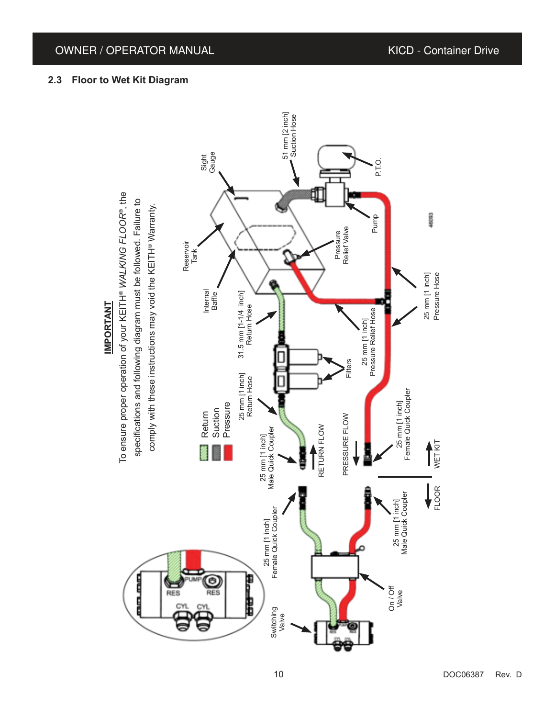# **2.3 Floor to Wet Kit Diagram**

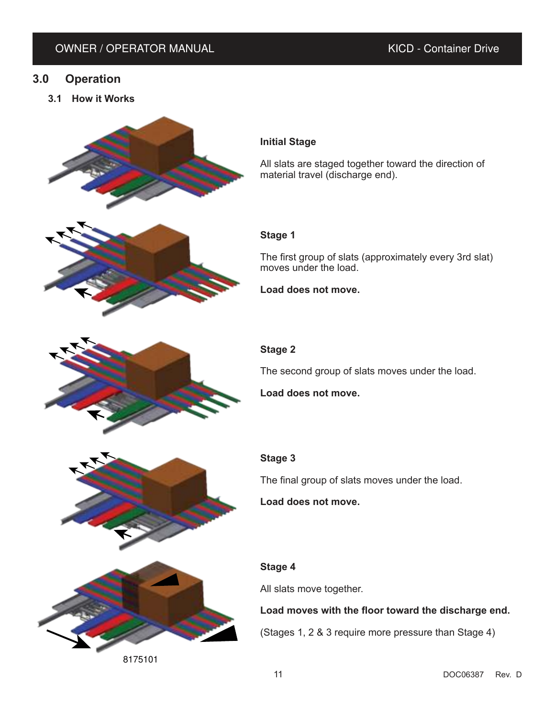# **3.0 Operation**

**3.1 How it Works**



8175101

# **Initial Stage**

All slats are staged together toward the direction of material travel (discharge end).

# **Stage 1**

The first group of slats (approximately every 3rd slat) moves under the load.

**Load does not move.**

# **Stage 2**

The second group of slats moves under the load.

**Load does not move.**

# **Stage 3**

The final group of slats moves under the load.

**Load does not move.**

# **Stage 4**

All slats move together.

# **Load moves with the floor toward the discharge end.**

(Stages 1, 2 & 3 require more pressure than Stage 4)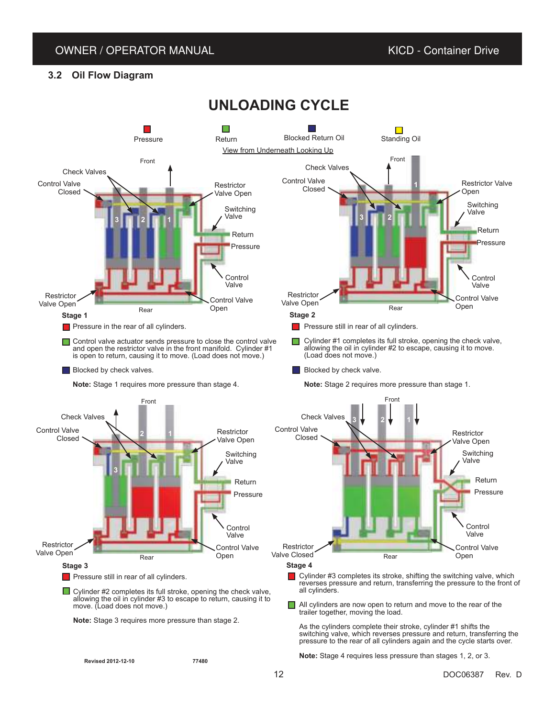# **3.2 Oil Flow Diagram**

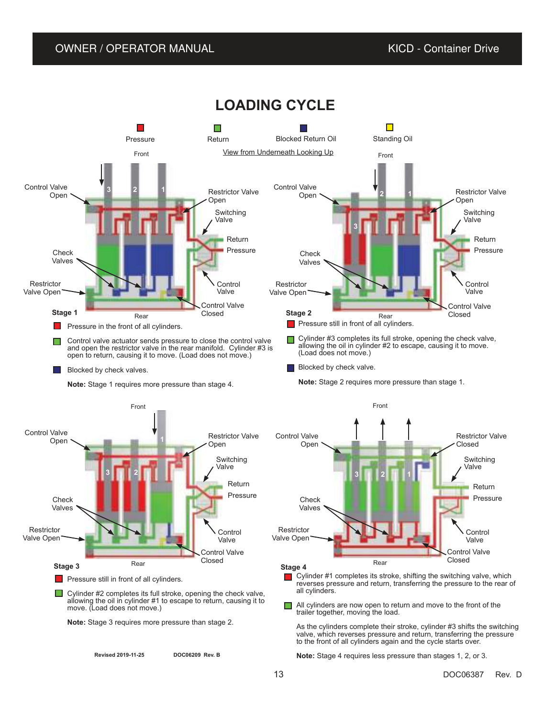

# **LOADING CYCLE**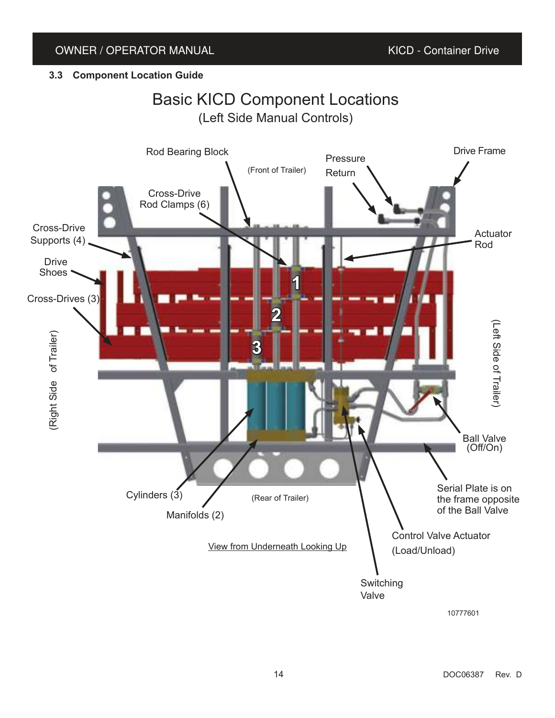# **3.3 Component Location Guide**

# Basic KICD Component Locations (Left Side Manual Controls)



10777601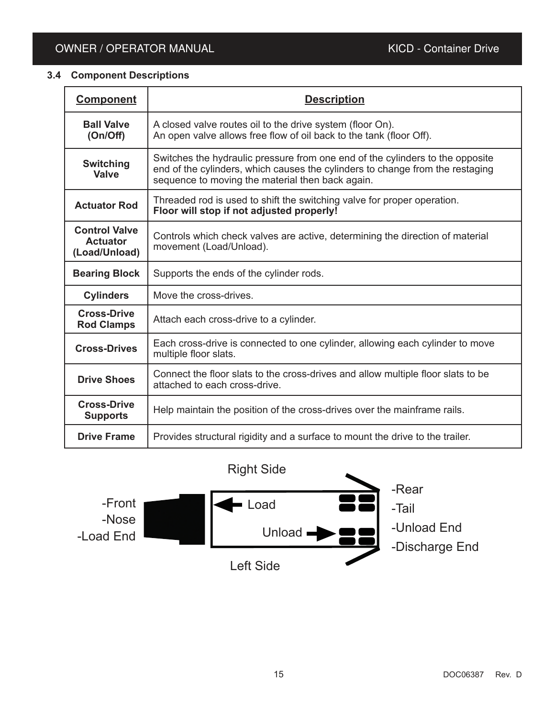# **3.4 Component Descriptions**

| <b>Component</b>                                         | <b>Description</b>                                                                                                                                                                                                 |
|----------------------------------------------------------|--------------------------------------------------------------------------------------------------------------------------------------------------------------------------------------------------------------------|
| <b>Ball Valve</b><br>(On/Off)                            | A closed valve routes oil to the drive system (floor On).<br>An open valve allows free flow of oil back to the tank (floor Off).                                                                                   |
| <b>Switching</b><br><b>Valve</b>                         | Switches the hydraulic pressure from one end of the cylinders to the opposite<br>end of the cylinders, which causes the cylinders to change from the restaging<br>sequence to moving the material then back again. |
| <b>Actuator Rod</b>                                      | Threaded rod is used to shift the switching valve for proper operation.<br>Floor will stop if not adjusted properly!                                                                                               |
| <b>Control Valve</b><br><b>Actuator</b><br>(Load/Unload) | Controls which check valves are active, determining the direction of material<br>movement (Load/Unload).                                                                                                           |
| <b>Bearing Block</b>                                     | Supports the ends of the cylinder rods.                                                                                                                                                                            |
| <b>Cylinders</b>                                         | Move the cross-drives.                                                                                                                                                                                             |
| <b>Cross-Drive</b><br><b>Rod Clamps</b>                  | Attach each cross-drive to a cylinder.                                                                                                                                                                             |
| <b>Cross-Drives</b>                                      | Each cross-drive is connected to one cylinder, allowing each cylinder to move<br>multiple floor slats.                                                                                                             |
| <b>Drive Shoes</b>                                       | Connect the floor slats to the cross-drives and allow multiple floor slats to be<br>attached to each cross-drive.                                                                                                  |
| <b>Cross-Drive</b><br><b>Supports</b>                    | Help maintain the position of the cross-drives over the mainframe rails.                                                                                                                                           |
| <b>Drive Frame</b>                                       | Provides structural rigidity and a surface to mount the drive to the trailer.                                                                                                                                      |

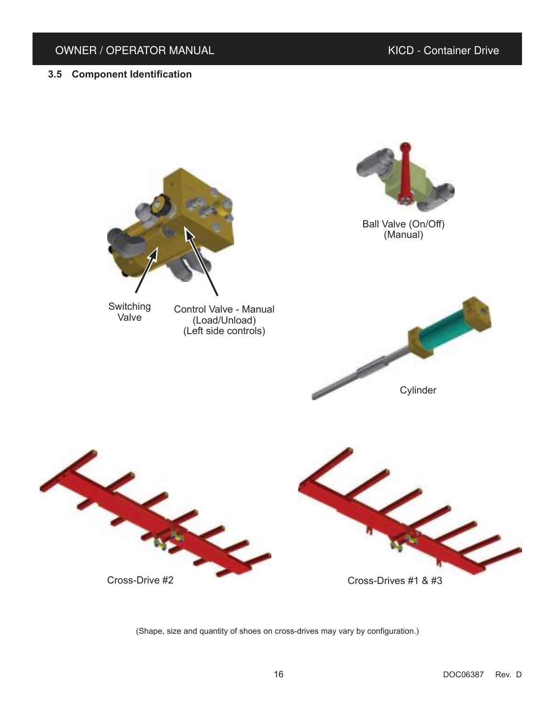# **3.5 Component Identification**



(Shape, size and quantity of shoes on cross-drives may vary by configuration.)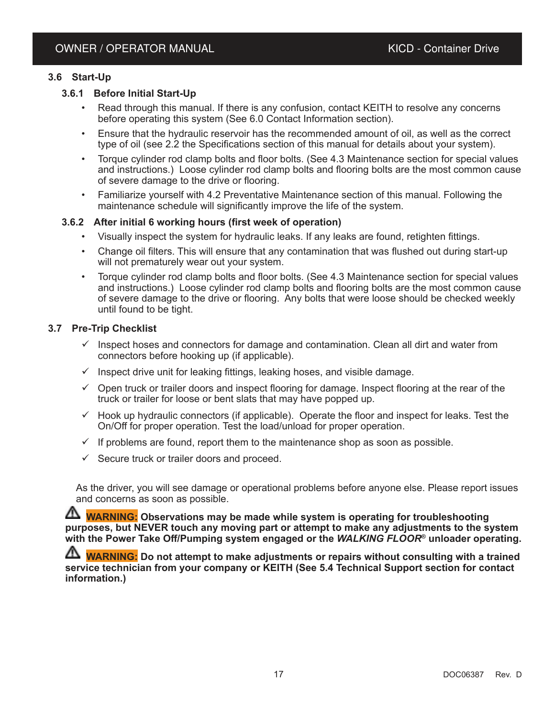# **3.6 Start-Up**

# **3.6.1 Before Initial Start-Up**

- Read through this manual. If there is any confusion, contact KEITH to resolve any concerns before operating this system (See 6.0 Contact Information section).
- Ensure that the hydraulic reservoir has the recommended amount of oil, as well as the correct type of oil (see 2.2 the Specifications section of this manual for details about your system).
- Torque cylinder rod clamp bolts and floor bolts. (See 4.3 Maintenance section for special values and instructions.) Loose cylinder rod clamp bolts and flooring bolts are the most common cause of severe damage to the drive or flooring.
- Familiarize yourself with 4.2 Preventative Maintenance section of this manual. Following the maintenance schedule will significantly improve the life of the system.

# **3.6.2 After initial 6 working hours (first week of operation)**

- Visually inspect the system for hydraulic leaks. If any leaks are found, retighten fittings.
- Change oil filters. This will ensure that any contamination that was flushed out during start-up will not prematurely wear out your system.
- Torque cylinder rod clamp bolts and floor bolts. (See 4.3 Maintenance section for special values and instructions.) Loose cylinder rod clamp bolts and flooring bolts are the most common cause of severe damage to the drive or flooring. Any bolts that were loose should be checked weekly until found to be tight.

#### **3.7 Pre-Trip Checklist**

- $\checkmark$  Inspect hoses and connectors for damage and contamination. Clean all dirt and water from connectors before hooking up (if applicable).
- $\checkmark$  Inspect drive unit for leaking fittings, leaking hoses, and visible damage.
- $\checkmark$  Open truck or trailer doors and inspect flooring for damage. Inspect flooring at the rear of the truck or trailer for loose or bent slats that may have popped up.
- $\checkmark$  Hook up hydraulic connectors (if applicable). Operate the floor and inspect for leaks. Test the On/Off for proper operation. Test the load/unload for proper operation.
- $\checkmark$  If problems are found, report them to the maintenance shop as soon as possible.
- $\checkmark$  Secure truck or trailer doors and proceed.

As the driver, you will see damage or operational problems before anyone else. Please report issues and concerns as soon as possible.

**WARNING:** Observations may be made while system is operating for troubleshooting **purposes, but NEVER touch any moving part or attempt to make any adjustments to the system with the Power Take Off/Pumping system engaged or the** *WALKING FLOOR***® unloader operating.**

 $\Delta$  <mark>WARNING:</mark> Do not attempt to make adjustments or repairs without consulting with a trained **service technician from your company or KEITH (See 5.4 Technical Support section for contact information.)**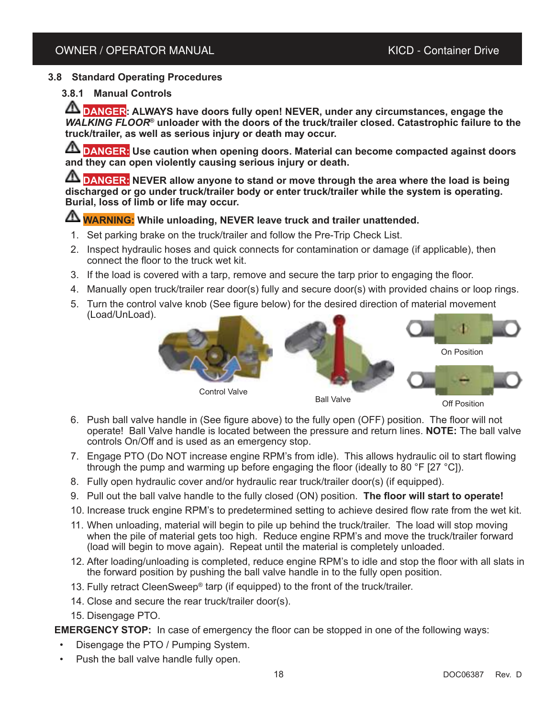# **3.8 Standard Operating Procedures**

## **3.8.1 Manual Controls**

**DANGER:** ALWAYS have doors fully open! NEVER, under any circumstances, engage the *WALKING FLOOR*<sup>®</sup> unloader with the doors of the truck/trailer closed. Catastrophic failure to the **truck/trailer, as well as serious injury or death may occur.**

**A DANGER:** Use caution when opening doors. Material can become compacted against doors **and they can open violently causing serious injury or death.**

**A DANGER:** NEVER allow anyone to stand or move through the area where the load is being **discharged or go under truck/trailer body or enter truck/trailer while the system is operating. Burial, loss of limb or life may occur.**

# **WARNING: While unloading, NEVER leave truck and trailer unattended.**

- 1. Set parking brake on the truck/trailer and follow the Pre-Trip Check List.
- 2. Inspect hydraulic hoses and quick connects for contamination or damage (if applicable), then connect the floor to the truck wet kit.
- 3. If the load is covered with a tarp, remove and secure the tarp prior to engaging the floor.
- 4. Manually open truck/trailer rear door(s) fully and secure door(s) with provided chains or loop rings.
- 5. Turn the control valve knob (See figure below) for the desired direction of material movement (Load/UnLoad).



- 6. Push ball valve handle in (See figure above) to the fully open (OFF) position. The floor will not operate! Ball Valve handle is located between the pressure and return lines. **NOTE:** The ball valve controls On/Off and is used as an emergency stop.
- 7. Engage PTO (Do NOT increase engine RPM's from idle). This allows hydraulic oil to start flowing through the pump and warming up before engaging the floor (ideally to 80 °F [27 °C]).
- 8. Fully open hydraulic cover and/or hydraulic rear truck/trailer door(s) (if equipped).
- 9. Pull out the ball valve handle to the fully closed (ON) position. **The floor will start to operate!**
- 10. Increase truck engine RPM's to predetermined setting to achieve desired flow rate from the wet kit.
- 11. When unloading, material will begin to pile up behind the truck/trailer. The load will stop moving when the pile of material gets too high. Reduce engine RPM's and move the truck/trailer forward (load will begin to move again). Repeat until the material is completely unloaded.
- 12. After loading/unloading is completed, reduce engine RPM's to idle and stop the floor with all slats in the forward position by pushing the ball valve handle in to the fully open position.
- 13. Fully retract CleenSweep® tarp (if equipped) to the front of the truck/trailer.
- 14. Close and secure the rear truck/trailer door(s).
- 15. Disengage PTO.

**EMERGENCY STOP:** In case of emergency the floor can be stopped in one of the following ways:

- Disengage the PTO / Pumping System.
- Push the ball valve handle fully open.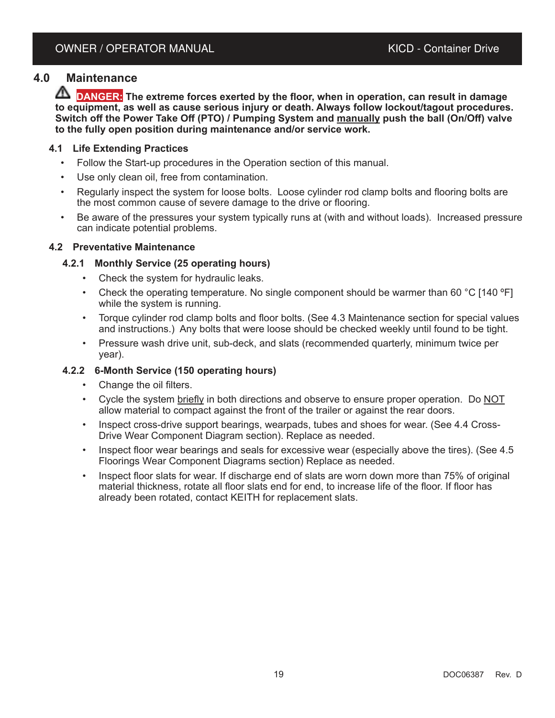# **4.0 Maintenance**

**DANGER: The extreme forces exerted by the floor, when in operation, can result in damage to equipment, as well as cause serious injury or death. Always follow lockout/tagout procedures. Switch off the Power Take Off (PTO) / Pumping System and manually push the ball (On/Off) valve to the fully open position during maintenance and/or service work.**

# **4.1 Life Extending Practices**

- Follow the Start-up procedures in the Operation section of this manual.
- Use only clean oil, free from contamination.
- Regularly inspect the system for loose bolts. Loose cylinder rod clamp bolts and flooring bolts are the most common cause of severe damage to the drive or flooring.
- Be aware of the pressures your system typically runs at (with and without loads). Increased pressure can indicate potential problems.

#### **4.2 Preventative Maintenance**

#### **4.2.1 Monthly Service (25 operating hours)**

- Check the system for hydraulic leaks.
- Check the operating temperature. No single component should be warmer than 60  $\degree$ C [140  $\degree$ F] while the system is running.
- Torque cylinder rod clamp bolts and floor bolts. (See 4.3 Maintenance section for special values and instructions.) Any bolts that were loose should be checked weekly until found to be tight.
- Pressure wash drive unit, sub-deck, and slats (recommended quarterly, minimum twice per year).

#### **4.2.2 6-Month Service (150 operating hours)**

- Change the oil filters.
- Cycle the system briefly in both directions and observe to ensure proper operation. Do NOT allow material to compact against the front of the trailer or against the rear doors.
- Inspect cross-drive support bearings, wearpads, tubes and shoes for wear. (See 4.4 Cross-Drive Wear Component Diagram section). Replace as needed.
- Inspect floor wear bearings and seals for excessive wear (especially above the tires). (See 4.5 Floorings Wear Component Diagrams section) Replace as needed.
- Inspect floor slats for wear. If discharge end of slats are worn down more than 75% of original material thickness, rotate all floor slats end for end, to increase life of the floor. If floor has already been rotated, contact KEITH for replacement slats.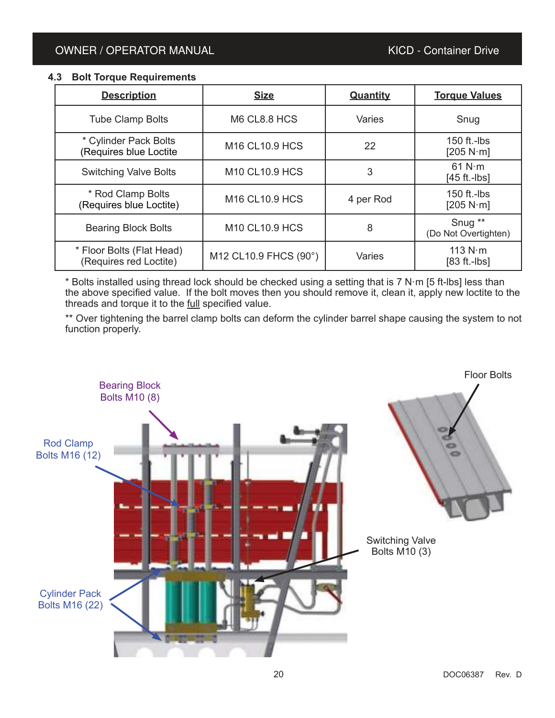### **4.3 Bolt Torque Requirements**

| <b>Description</b>                                  | <b>Size</b>                            | <b>Quantity</b> | <b>Torque Values</b>                       |
|-----------------------------------------------------|----------------------------------------|-----------------|--------------------------------------------|
| <b>Tube Clamp Bolts</b>                             | M6 CL8.8 HCS                           | <b>Varies</b>   | Snug                                       |
| * Cylinder Pack Bolts<br>(Requires blue Loctite     | M <sub>16</sub> CL <sub>10.9</sub> HCS | 22              | 150 ft.-lbs<br>[205 N·m]                   |
| <b>Switching Valve Bolts</b>                        | <b>M10 CL10.9 HCS</b>                  | 3               | 61 $N \cdot m$<br>$[45 ft.-lbs]$           |
| * Rod Clamp Bolts<br>(Requires blue Loctite)        | <b>M16 CL10.9 HCS</b>                  | 4 per Rod       | 150 ft.- $\mathsf{ls}$<br>[205 N·m]        |
| <b>Bearing Block Bolts</b>                          | <b>M10 CL10.9 HCS</b>                  | 8               | Snug <sup>**</sup><br>(Do Not Overtighten) |
| * Floor Bolts (Flat Head)<br>(Requires red Loctite) | M12 CL10.9 FHCS (90°)                  | Varies          | 113 $N \cdot m$<br>$[83 ft.-lbs]$          |

\* Bolts installed using thread lock should be checked using a setting that is 7 N·m [5 ft-lbs] less than the above specified value. If the bolt moves then you should remove it, clean it, apply new loctite to the threads and torque it to the full specified value.

\*\* Over tightening the barrel clamp bolts can deform the cylinder barrel shape causing the system to not function properly.

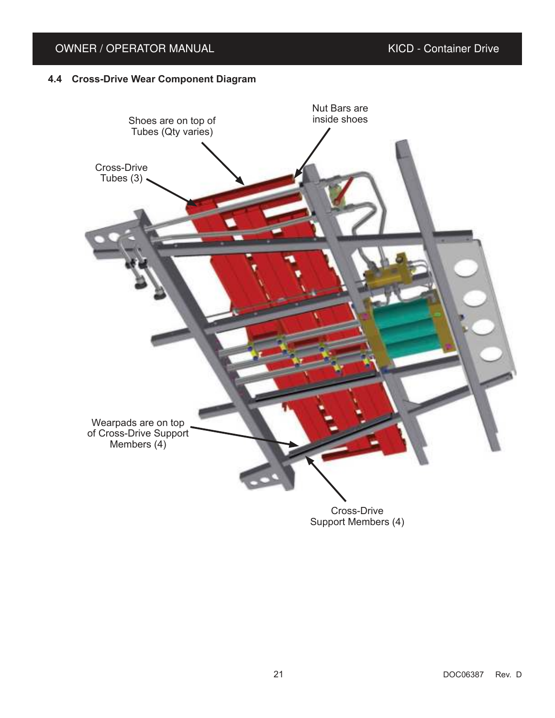# **4.4 Cross-Drive Wear Component Diagram**

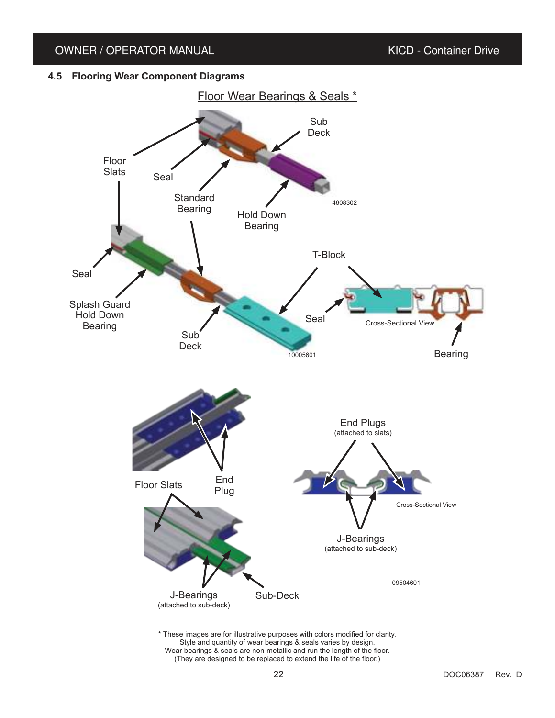#### **4.5 Flooring Wear Component Diagrams**



Style and quantity of wear bearings & seals varies by design. Wear bearings & seals are non-metallic and run the length of the floor. (They are designed to be replaced to extend the life of the floor.)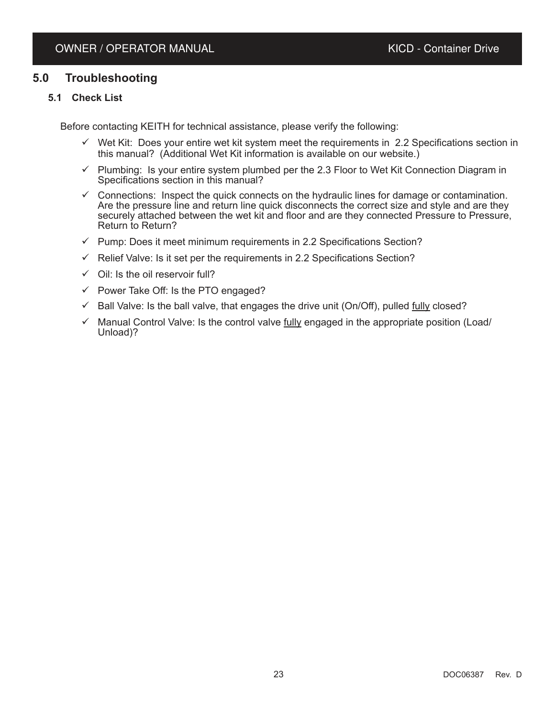# **5.0 Troubleshooting**

### **5.1 Check List**

Before contacting KEITH for technical assistance, please verify the following:

- $\checkmark$  Wet Kit: Does your entire wet kit system meet the requirements in 2.2 Specifications section in this manual? (Additional Wet Kit information is available on our website.)
- $\checkmark$  Plumbing: Is your entire system plumbed per the 2.3 Floor to Wet Kit Connection Diagram in Specifications section in this manual?
- $\checkmark$  Connections: Inspect the quick connects on the hydraulic lines for damage or contamination. Are the pressure line and return line quick disconnects the correct size and style and are they securely attached between the wet kit and floor and are they connected Pressure to Pressure, Return to Return?
- $\checkmark$  Pump: Does it meet minimum requirements in 2.2 Specifications Section?
- $\checkmark$  Relief Valve: Is it set per the requirements in 2.2 Specifications Section?
- $\checkmark$  Oil: Is the oil reservoir full?
- $\checkmark$  Power Take Off: Is the PTO engaged?
- $\checkmark$  Ball Valve: Is the ball valve, that engages the drive unit (On/Off), pulled fully closed?
- $\checkmark$  Manual Control Valve: Is the control valve fully engaged in the appropriate position (Load/ Unload)?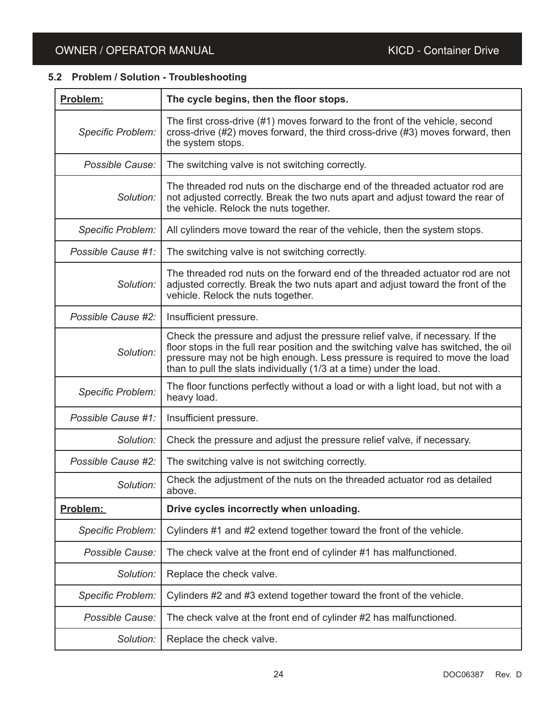# **5.2 Problem / Solution - Troubleshooting**

| Problem:                 | The cycle begins, then the floor stops.                                                                                                                                                                                                                                                                                    |
|--------------------------|----------------------------------------------------------------------------------------------------------------------------------------------------------------------------------------------------------------------------------------------------------------------------------------------------------------------------|
| <b>Specific Problem:</b> | The first cross-drive (#1) moves forward to the front of the vehicle, second<br>cross-drive (#2) moves forward, the third cross-drive (#3) moves forward, then<br>the system stops.                                                                                                                                        |
| Possible Cause:          | The switching valve is not switching correctly.                                                                                                                                                                                                                                                                            |
| Solution:                | The threaded rod nuts on the discharge end of the threaded actuator rod are<br>not adjusted correctly. Break the two nuts apart and adjust toward the rear of<br>the vehicle. Relock the nuts together.                                                                                                                    |
| <b>Specific Problem:</b> | All cylinders move toward the rear of the vehicle, then the system stops.                                                                                                                                                                                                                                                  |
| Possible Cause #1:       | The switching valve is not switching correctly.                                                                                                                                                                                                                                                                            |
| Solution:                | The threaded rod nuts on the forward end of the threaded actuator rod are not<br>adjusted correctly. Break the two nuts apart and adjust toward the front of the<br>vehicle. Relock the nuts together.                                                                                                                     |
| Possible Cause #2:       | Insufficient pressure.                                                                                                                                                                                                                                                                                                     |
| Solution:                | Check the pressure and adjust the pressure relief valve, if necessary. If the<br>floor stops in the full rear position and the switching valve has switched, the oil<br>pressure may not be high enough. Less pressure is required to move the load<br>than to pull the slats individually (1/3 at a time) under the load. |
| <b>Specific Problem:</b> | The floor functions perfectly without a load or with a light load, but not with a<br>heavy load.                                                                                                                                                                                                                           |
| Possible Cause #1:       | Insufficient pressure.                                                                                                                                                                                                                                                                                                     |
| Solution:                | Check the pressure and adjust the pressure relief valve, if necessary.                                                                                                                                                                                                                                                     |
| Possible Cause #2:       | The switching valve is not switching correctly.                                                                                                                                                                                                                                                                            |
| Solution:                | Check the adjustment of the nuts on the threaded actuator rod as detailed<br>above.                                                                                                                                                                                                                                        |
| Problem:                 | Drive cycles incorrectly when unloading.                                                                                                                                                                                                                                                                                   |
| Specific Problem:        | Cylinders #1 and #2 extend together toward the front of the vehicle.                                                                                                                                                                                                                                                       |
| Possible Cause:          | The check valve at the front end of cylinder #1 has malfunctioned.                                                                                                                                                                                                                                                         |
| Solution:                | Replace the check valve.                                                                                                                                                                                                                                                                                                   |
| Specific Problem:        | Cylinders #2 and #3 extend together toward the front of the vehicle.                                                                                                                                                                                                                                                       |
| Possible Cause:          | The check valve at the front end of cylinder #2 has malfunctioned.                                                                                                                                                                                                                                                         |
| Solution:                | Replace the check valve.                                                                                                                                                                                                                                                                                                   |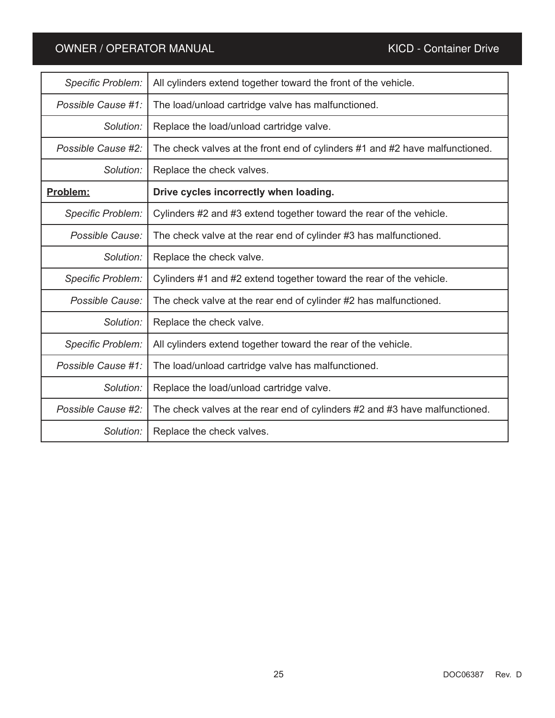| <b>Specific Problem:</b> | All cylinders extend together toward the front of the vehicle.               |
|--------------------------|------------------------------------------------------------------------------|
| Possible Cause #1:       | The load/unload cartridge valve has malfunctioned.                           |
| Solution:                | Replace the load/unload cartridge valve.                                     |
| Possible Cause #2:       | The check valves at the front end of cylinders #1 and #2 have malfunctioned. |
| Solution:                | Replace the check valves.                                                    |
| Problem:                 | Drive cycles incorrectly when loading.                                       |
| <b>Specific Problem:</b> | Cylinders #2 and #3 extend together toward the rear of the vehicle.          |
| Possible Cause:          | The check valve at the rear end of cylinder #3 has malfunctioned.            |
| Solution:                | Replace the check valve.                                                     |
| <b>Specific Problem:</b> | Cylinders #1 and #2 extend together toward the rear of the vehicle.          |
| Possible Cause:          | The check valve at the rear end of cylinder #2 has malfunctioned.            |
| Solution:                | Replace the check valve.                                                     |
| Specific Problem:        | All cylinders extend together toward the rear of the vehicle.                |
| Possible Cause #1:       | The load/unload cartridge valve has malfunctioned.                           |
| Solution:                | Replace the load/unload cartridge valve.                                     |
| Possible Cause #2:       | The check valves at the rear end of cylinders #2 and #3 have malfunctioned.  |
| Solution:                | Replace the check valves.                                                    |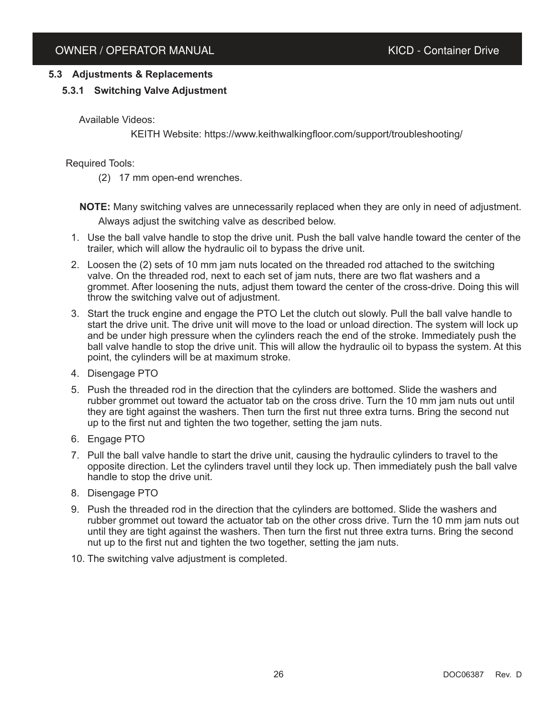# **5.3 Adjustments & Replacements**

# **5.3.1 Switching Valve Adjustment**

Available Videos:

KEITH Website: https://www.keithwalkingfloor.com/support/troubleshooting/

Required Tools:

(2) 17 mm open-end wrenches.

**NOTE:** Many switching valves are unnecessarily replaced when they are only in need of adjustment.

Always adjust the switching valve as described below.

- 1. Use the ball valve handle to stop the drive unit. Push the ball valve handle toward the center of the trailer, which will allow the hydraulic oil to bypass the drive unit.
- 2. Loosen the (2) sets of 10 mm jam nuts located on the threaded rod attached to the switching valve. On the threaded rod, next to each set of jam nuts, there are two flat washers and a grommet. After loosening the nuts, adjust them toward the center of the cross-drive. Doing this will throw the switching valve out of adjustment.
- 3. Start the truck engine and engage the PTO Let the clutch out slowly. Pull the ball valve handle to start the drive unit. The drive unit will move to the load or unload direction. The system will lock up and be under high pressure when the cylinders reach the end of the stroke. Immediately push the ball valve handle to stop the drive unit. This will allow the hydraulic oil to bypass the system. At this point, the cylinders will be at maximum stroke.
- 4. Disengage PTO
- 5. Push the threaded rod in the direction that the cylinders are bottomed. Slide the washers and rubber grommet out toward the actuator tab on the cross drive. Turn the 10 mm jam nuts out until they are tight against the washers. Then turn the first nut three extra turns. Bring the second nut up to the first nut and tighten the two together, setting the jam nuts.
- 6. Engage PTO
- 7. Pull the ball valve handle to start the drive unit, causing the hydraulic cylinders to travel to the opposite direction. Let the cylinders travel until they lock up. Then immediately push the ball valve handle to stop the drive unit.
- 8. Disengage PTO
- 9. Push the threaded rod in the direction that the cylinders are bottomed. Slide the washers and rubber grommet out toward the actuator tab on the other cross drive. Turn the 10 mm jam nuts out until they are tight against the washers. Then turn the first nut three extra turns. Bring the second nut up to the first nut and tighten the two together, setting the jam nuts.
- 10. The switching valve adjustment is completed.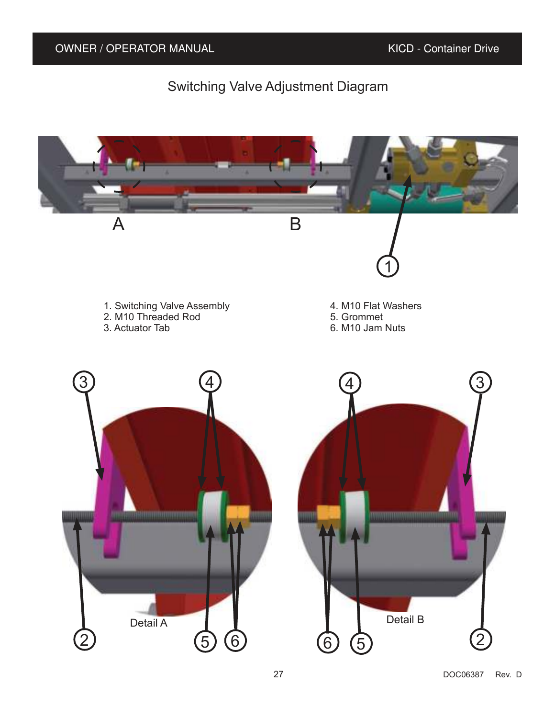# Switching Valve Adjustment Diagram

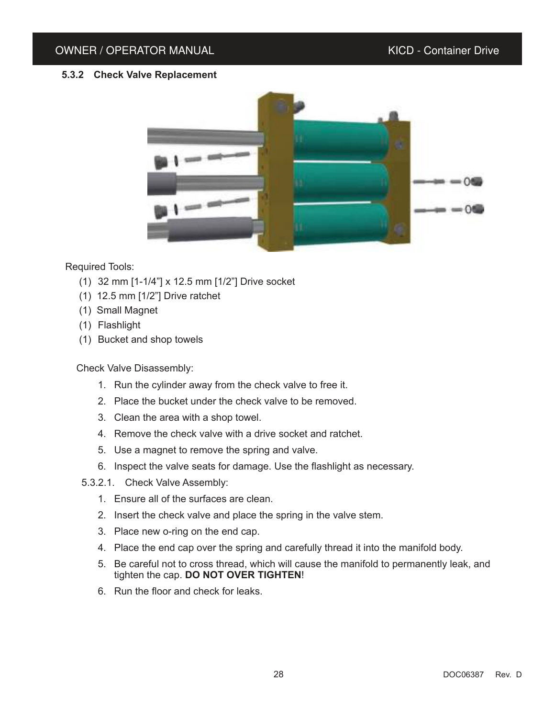# **5.3.2 Check Valve Replacement**



# Required Tools:

- (1) 32 mm [1-1/4"] x 12.5 mm [1/2"] Drive socket
- (1) 12.5 mm [1/2"] Drive ratchet
- (1) Small Magnet
- (1) Flashlight
- (1) Bucket and shop towels

# Check Valve Disassembly:

- 1. Run the cylinder away from the check valve to free it.
- 2. Place the bucket under the check valve to be removed.
- 3. Clean the area with a shop towel.
- 4. Remove the check valve with a drive socket and ratchet.
- 5. Use a magnet to remove the spring and valve.
- 6. Inspect the valve seats for damage. Use the flashlight as necessary.
- 5.3.2.1. Check Valve Assembly:
	- 1. Ensure all of the surfaces are clean.
	- 2. Insert the check valve and place the spring in the valve stem.
	- 3. Place new o-ring on the end cap.
	- 4. Place the end cap over the spring and carefully thread it into the manifold body.
	- 5. Be careful not to cross thread, which will cause the manifold to permanently leak, and tighten the cap. **DO NOT OVER TIGHTEN**!
	- 6. Run the floor and check for leaks.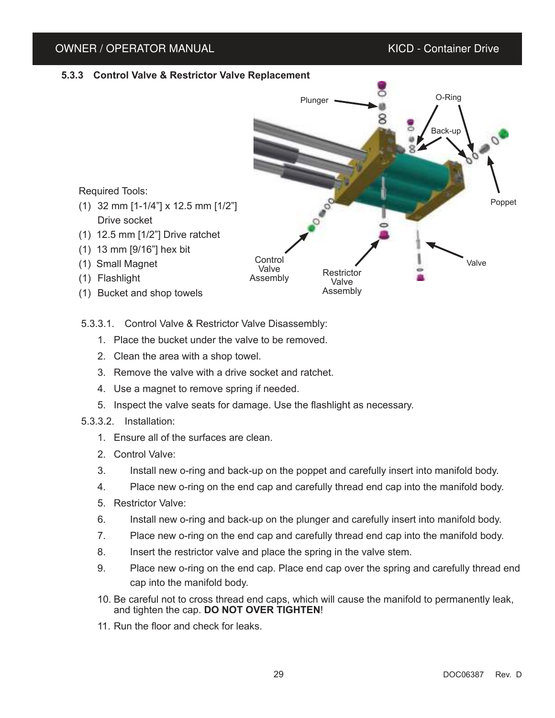#### **5.3.3 Control Valve & Restrictor Valve Replacement**



5.3.3.1. Control Valve & Restrictor Valve Disassembly:

- 1. Place the bucket under the valve to be removed.
- 2. Clean the area with a shop towel.
- 3. Remove the valve with a drive socket and ratchet.
- 4. Use a magnet to remove spring if needed.
- 5. Inspect the valve seats for damage. Use the flashlight as necessary.
- 5.3.3.2. Installation:
	- 1. Ensure all of the surfaces are clean.
	- 2. Control Valve:
	- 3. Install new o-ring and back-up on the poppet and carefully insert into manifold body.
	- 4. Place new o-ring on the end cap and carefully thread end cap into the manifold body.
	- 5. Restrictor Valve:
	- 6. Install new o-ring and back-up on the plunger and carefully insert into manifold body.
	- 7. Place new o-ring on the end cap and carefully thread end cap into the manifold body.
	- 8. Insert the restrictor valve and place the spring in the valve stem.
	- 9. Place new o-ring on the end cap. Place end cap over the spring and carefully thread end cap into the manifold body.
	- 10. Be careful not to cross thread end caps, which will cause the manifold to permanently leak, and tighten the cap. **DO NOT OVER TIGHTEN**!
	- 11. Run the floor and check for leaks.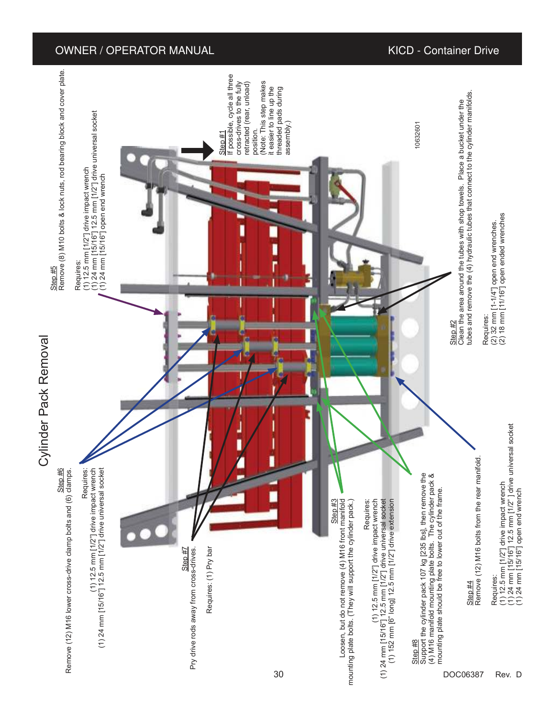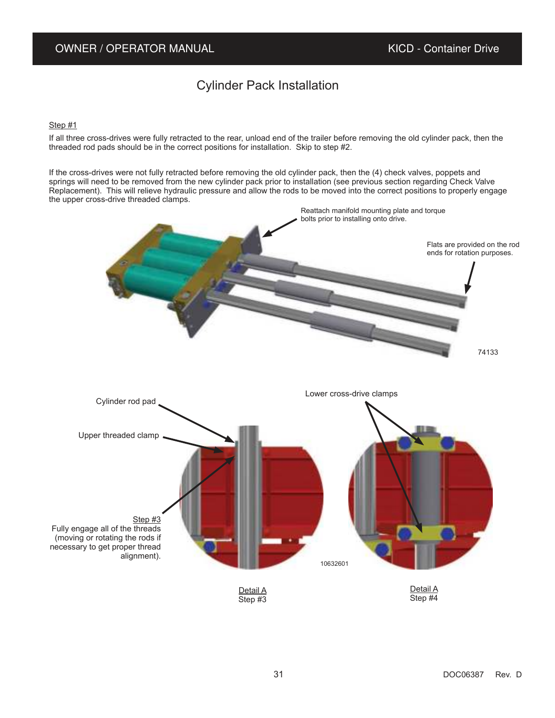# Cylinder Pack Installation

#### Step #1

If all three cross-drives were fully retracted to the rear, unload end of the trailer before removing the old cylinder pack, then the threaded rod pads should be in the correct positions for installation. Skip to step #2.

If the cross-drives were not fully retracted before removing the old cylinder pack, then the (4) check valves, poppets and springs will need to be removed from the new cylinder pack prior to installation (see previous section regarding Check Valve Replacement). This will relieve hydraulic pressure and allow the rods to be moved into the correct positions to properly engage the upper cross-drive threaded clamps.

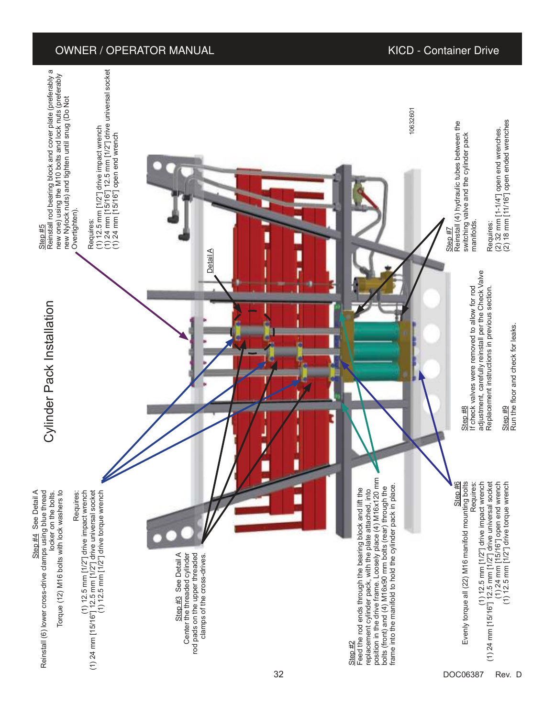